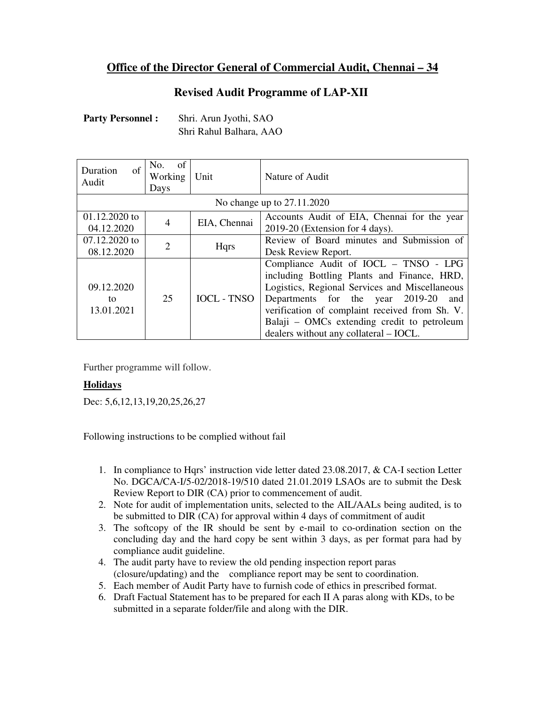## **Office of the Director General of Commercial Audit, Chennai – 34**

## **Revised Audit Programme of LAP-XII**

| <b>Party Personnel:</b> |  |
|-------------------------|--|
|-------------------------|--|

Shri. Arun Jyothi, SAO Shri Rahul Balhara, AAO

| $\sigma$ f<br><b>Duration</b><br>Audit | of<br>No.<br>Working  <br>Days | Unit               | Nature of Audit                                                                                                                                                                                                                                                                                                              |  |
|----------------------------------------|--------------------------------|--------------------|------------------------------------------------------------------------------------------------------------------------------------------------------------------------------------------------------------------------------------------------------------------------------------------------------------------------------|--|
| No change up to 27.11.2020             |                                |                    |                                                                                                                                                                                                                                                                                                                              |  |
| $01.12,2020$ to<br>04.12.2020          | 4                              | EIA, Chennai       | Accounts Audit of EIA, Chennai for the year<br>2019-20 (Extension for 4 days).                                                                                                                                                                                                                                               |  |
| 07.12.2020 to<br>08.12.2020            | $\mathcal{D}_{\mathcal{L}}$    | Hqrs               | Review of Board minutes and Submission of<br>Desk Review Report.                                                                                                                                                                                                                                                             |  |
| 09.12.2020<br>to<br>13.01.2021         | 25                             | <b>IOCL - TNSO</b> | Compliance Audit of IOCL - TNSO - LPG<br>including Bottling Plants and Finance, HRD,<br>Logistics, Regional Services and Miscellaneous<br>Departments for the year 2019-20<br>and<br>verification of complaint received from Sh. V.<br>Balaji – OMCs extending credit to petroleum<br>dealers without any collateral – IOCL. |  |

Further programme will follow.

## **Holidays**

Dec: 5,6,12,13,19,20,25,26,27

Following instructions to be complied without fail

- 1. In compliance to Hqrs' instruction vide letter dated 23.08.2017, & CA-I section Letter No. DGCA/CA-I/5-02/2018-19/510 dated 21.01.2019 LSAOs are to submit the Desk Review Report to DIR (CA) prior to commencement of audit.
- 2. Note for audit of implementation units, selected to the AIL/AALs being audited, is to be submitted to DIR (CA) for approval within 4 days of commitment of audit
- 3. The softcopy of the IR should be sent by e-mail to co-ordination section on the concluding day and the hard copy be sent within 3 days, as per format para had by compliance audit guideline.
- 4. The audit party have to review the old pending inspection report paras (closure/updating) and the compliance report may be sent to coordination.
- 5. Each member of Audit Party have to furnish code of ethics in prescribed format.
- 6. Draft Factual Statement has to be prepared for each II A paras along with KDs, to be submitted in a separate folder/file and along with the DIR.